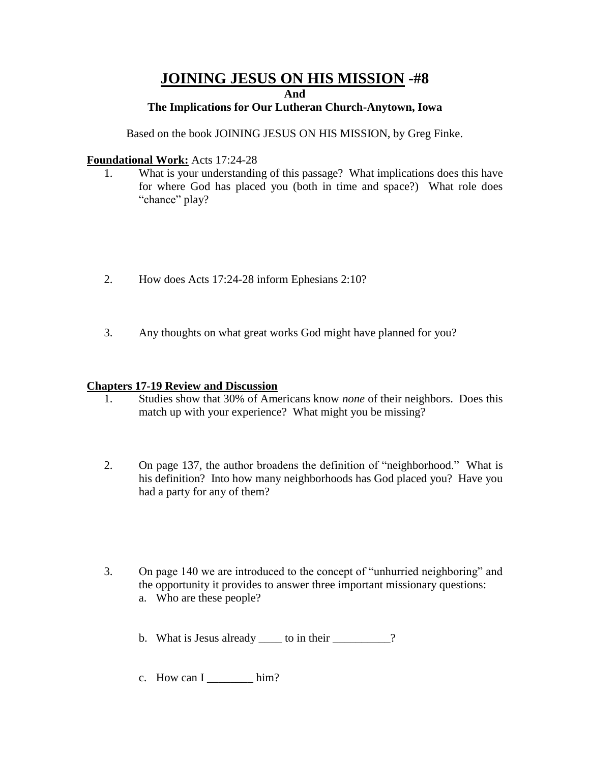# **JOINING JESUS ON HIS MISSION -#8**

**And**

### **The Implications for Our Lutheran Church-Anytown, Iowa**

Based on the book JOINING JESUS ON HIS MISSION, by Greg Finke.

### **Foundational Work:** Acts 17:24-28

- 1. What is your understanding of this passage? What implications does this have for where God has placed you (both in time and space?) What role does "chance" play?
- 2. How does Acts 17:24-28 inform Ephesians 2:10?
- 3. Any thoughts on what great works God might have planned for you?

### **Chapters 17-19 Review and Discussion**

- 1. Studies show that 30% of Americans know *none* of their neighbors. Does this match up with your experience? What might you be missing?
- 2. On page 137, the author broadens the definition of "neighborhood." What is his definition? Into how many neighborhoods has God placed you? Have you had a party for any of them?
- 3. On page 140 we are introduced to the concept of "unhurried neighboring" and the opportunity it provides to answer three important missionary questions: a. Who are these people?

b. What is Jesus already \_\_\_\_\_ to in their \_\_\_\_\_\_\_\_\_\_?

c. How can  $I$  \_\_\_\_\_\_\_\_ him?